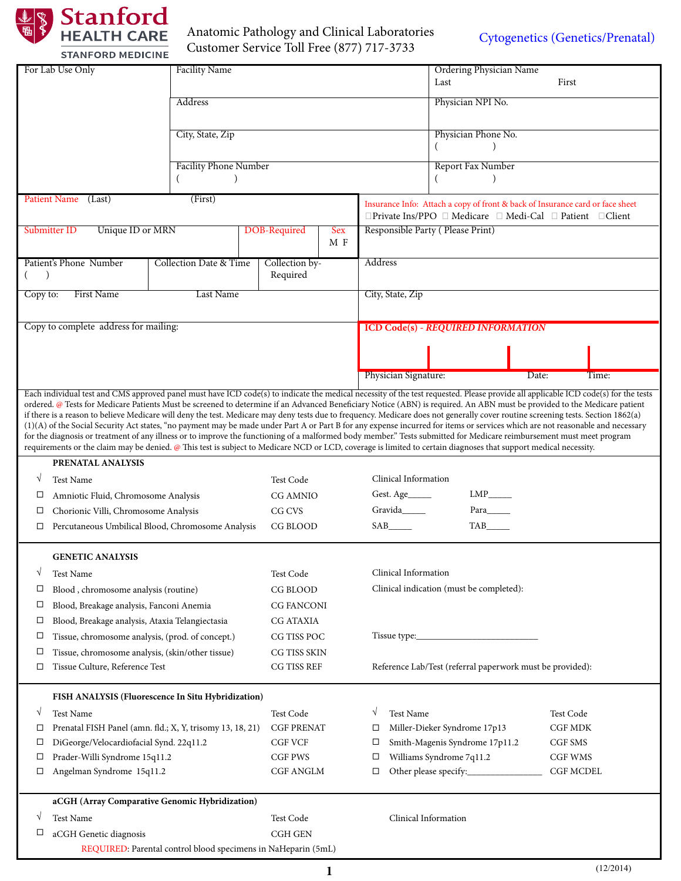

### Anatomic Pathology and Clinical Laboratories Customer Service Toll Free (877) 717-3733

[Cytogenetics \(Genetics/Prenatal\)](http://stanfordlab.com/esoteric/Cytogenetics-FISH.html)

|                                  | <b>Facility Name</b><br>For Lab Use Only                  |                                                               |                             | Ordering Physician Name |                                                                               |                                                                                                                                                                                                                                                                                                                                           |                                                                                                                                                                                    |
|----------------------------------|-----------------------------------------------------------|---------------------------------------------------------------|-----------------------------|-------------------------|-------------------------------------------------------------------------------|-------------------------------------------------------------------------------------------------------------------------------------------------------------------------------------------------------------------------------------------------------------------------------------------------------------------------------------------|------------------------------------------------------------------------------------------------------------------------------------------------------------------------------------|
|                                  |                                                           |                                                               |                             |                         | Last                                                                          | First                                                                                                                                                                                                                                                                                                                                     |                                                                                                                                                                                    |
| Address                          |                                                           |                                                               |                             |                         | Physician NPI No.                                                             |                                                                                                                                                                                                                                                                                                                                           |                                                                                                                                                                                    |
|                                  |                                                           | City, State, Zip                                              |                             |                         |                                                                               |                                                                                                                                                                                                                                                                                                                                           |                                                                                                                                                                                    |
|                                  |                                                           |                                                               |                             |                         | Physician Phone No.<br>(                                                      |                                                                                                                                                                                                                                                                                                                                           |                                                                                                                                                                                    |
|                                  |                                                           | <b>Facility Phone Number</b>                                  |                             |                         | Report Fax Number                                                             |                                                                                                                                                                                                                                                                                                                                           |                                                                                                                                                                                    |
|                                  |                                                           |                                                               |                             |                         |                                                                               |                                                                                                                                                                                                                                                                                                                                           |                                                                                                                                                                                    |
|                                  | <b>Patient Name</b><br>(Last)                             |                                                               |                             |                         | Insurance Info: Attach a copy of front & back of Insurance card or face sheet |                                                                                                                                                                                                                                                                                                                                           |                                                                                                                                                                                    |
|                                  |                                                           |                                                               |                             |                         |                                                                               | □Private Ins/PPO □ Medicare □ Medi-Cal □ Patient □ Client                                                                                                                                                                                                                                                                                 |                                                                                                                                                                                    |
| Unique ID or MRN<br>Submitter ID |                                                           |                                                               | <b>DOB-Required</b>         | Sex<br>M F              |                                                                               | Responsible Party (Please Print)                                                                                                                                                                                                                                                                                                          |                                                                                                                                                                                    |
|                                  |                                                           |                                                               |                             |                         | Address                                                                       |                                                                                                                                                                                                                                                                                                                                           |                                                                                                                                                                                    |
|                                  | Patient's Phone Number                                    | Collection Date & Time                                        | Collection by-<br>Required  |                         |                                                                               |                                                                                                                                                                                                                                                                                                                                           |                                                                                                                                                                                    |
| Copy to:                         | <b>First Name</b>                                         | Last Name                                                     |                             |                         | City, State, Zip                                                              |                                                                                                                                                                                                                                                                                                                                           |                                                                                                                                                                                    |
|                                  |                                                           |                                                               |                             |                         |                                                                               |                                                                                                                                                                                                                                                                                                                                           |                                                                                                                                                                                    |
|                                  | Copy to complete address for mailing:                     |                                                               |                             |                         |                                                                               | <b>ICD Code(s) - REQUIRED INFORMATION</b>                                                                                                                                                                                                                                                                                                 |                                                                                                                                                                                    |
|                                  |                                                           |                                                               |                             |                         |                                                                               |                                                                                                                                                                                                                                                                                                                                           |                                                                                                                                                                                    |
|                                  |                                                           |                                                               |                             |                         |                                                                               |                                                                                                                                                                                                                                                                                                                                           |                                                                                                                                                                                    |
|                                  |                                                           |                                                               |                             |                         | Physician Signature:                                                          |                                                                                                                                                                                                                                                                                                                                           | Date:<br>Time:                                                                                                                                                                     |
|                                  |                                                           |                                                               |                             |                         |                                                                               |                                                                                                                                                                                                                                                                                                                                           | Each individual test and CMS approved panel must have ICD code(s) to indicate the medical necessity of the test requested. Please provide all applicable ICD code(s) for the tests |
|                                  |                                                           |                                                               |                             |                         |                                                                               | if there is a reason to believe Medicare will deny the test. Medicare may deny tests due to frequency. Medicare does not generally cover routine screening tests. Section 1862(a)                                                                                                                                                         | ordered. @ Tests for Medicare Patients Must be screened to determine if an Advanced Beneficiary Notice (ABN) is required. An ABN must be provided to the Medicare patient          |
|                                  |                                                           |                                                               |                             |                         |                                                                               |                                                                                                                                                                                                                                                                                                                                           | (1)(A) of the Social Security Act states, "no payment may be made under Part A or Part B for any expense incurred for items or services which are not reasonable and necessary     |
|                                  |                                                           |                                                               |                             |                         |                                                                               | for the diagnosis or treatment of any illness or to improve the functioning of a malformed body member." Tests submitted for Medicare reimbursement must meet program<br>requirements or the claim may be denied. @ This test is subject to Medicare NCD or LCD, coverage is limited to certain diagnoses that support medical necessity. |                                                                                                                                                                                    |
|                                  | PRENATAL ANALYSIS                                         |                                                               |                             |                         |                                                                               |                                                                                                                                                                                                                                                                                                                                           |                                                                                                                                                                                    |
| ٦                                | <b>Test Name</b>                                          |                                                               | Test Code                   |                         | Clinical Information                                                          |                                                                                                                                                                                                                                                                                                                                           |                                                                                                                                                                                    |
| □                                | Amniotic Fluid, Chromosome Analysis                       |                                                               | <b>CG AMNIO</b>             |                         | $LMP$ <sub>_____</sub><br>Gest. Age                                           |                                                                                                                                                                                                                                                                                                                                           |                                                                                                                                                                                    |
| □                                | Chorionic Villi, Chromosome Analysis                      |                                                               | CG CVS                      |                         | Gravida                                                                       | Para                                                                                                                                                                                                                                                                                                                                      |                                                                                                                                                                                    |
| □                                | Percutaneous Umbilical Blood, Chromosome Analysis         |                                                               | CG BLOOD                    |                         | SAB_______                                                                    |                                                                                                                                                                                                                                                                                                                                           |                                                                                                                                                                                    |
|                                  | <b>GENETIC ANALYSIS</b>                                   |                                                               |                             |                         |                                                                               |                                                                                                                                                                                                                                                                                                                                           |                                                                                                                                                                                    |
| ٦                                | Test Name                                                 |                                                               | Test Code                   |                         | Clinical Information                                                          |                                                                                                                                                                                                                                                                                                                                           |                                                                                                                                                                                    |
| □                                | Blood, chromosome analysis (routine)                      |                                                               | CG BLOOD                    |                         | Clinical indication (must be completed):                                      |                                                                                                                                                                                                                                                                                                                                           |                                                                                                                                                                                    |
| □                                | Blood, Breakage analysis, Fanconi Anemia                  |                                                               | <b>CG FANCONI</b>           |                         |                                                                               |                                                                                                                                                                                                                                                                                                                                           |                                                                                                                                                                                    |
| □                                | Blood, Breakage analysis, Ataxia Telangiectasia           |                                                               | <b>CG ATAXIA</b>            |                         |                                                                               |                                                                                                                                                                                                                                                                                                                                           |                                                                                                                                                                                    |
| □                                | Tissue, chromosome analysis, (prod. of concept.)          |                                                               | CG TISS POC                 |                         |                                                                               |                                                                                                                                                                                                                                                                                                                                           |                                                                                                                                                                                    |
| □                                | Tissue, chromosome analysis, (skin/other tissue)          |                                                               | CG TISS SKIN                |                         |                                                                               |                                                                                                                                                                                                                                                                                                                                           |                                                                                                                                                                                    |
| □                                | Tissue Culture, Reference Test                            |                                                               | CG TISS REF                 |                         | Reference Lab/Test (referral paperwork must be provided):                     |                                                                                                                                                                                                                                                                                                                                           |                                                                                                                                                                                    |
|                                  | FISH ANALYSIS (Fluorescence In Situ Hybridization)        |                                                               |                             |                         |                                                                               |                                                                                                                                                                                                                                                                                                                                           |                                                                                                                                                                                    |
| ٦                                | Test Name                                                 |                                                               | Test Code                   |                         | <b>Test Name</b><br>V                                                         |                                                                                                                                                                                                                                                                                                                                           | Test Code                                                                                                                                                                          |
| □                                | Prenatal FISH Panel (amn. fld.; X, Y, trisomy 13, 18, 21) |                                                               | <b>CGF PRENAT</b>           |                         | □                                                                             | Miller-Dieker Syndrome 17p13                                                                                                                                                                                                                                                                                                              | <b>CGF MDK</b>                                                                                                                                                                     |
| □                                | DiGeorge/Velocardiofacial Synd. 22q11.2                   |                                                               | <b>CGF VCF</b>              |                         | □                                                                             | Smith-Magenis Syndrome 17p11.2                                                                                                                                                                                                                                                                                                            | CGF SMS                                                                                                                                                                            |
| □                                | Prader-Willi Syndrome 15q11.2                             |                                                               | <b>CGF PWS</b>              |                         | □                                                                             | Williams Syndrome 7q11.2                                                                                                                                                                                                                                                                                                                  | CGF WMS                                                                                                                                                                            |
| □                                | Angelman Syndrome 15q11.2                                 |                                                               | <b>CGF ANGLM</b>            |                         | □                                                                             |                                                                                                                                                                                                                                                                                                                                           | <b>CGF MCDEL</b>                                                                                                                                                                   |
|                                  | aCGH (Array Comparative Genomic Hybridization)            |                                                               |                             |                         |                                                                               |                                                                                                                                                                                                                                                                                                                                           |                                                                                                                                                                                    |
|                                  | Test Name                                                 |                                                               |                             |                         |                                                                               | Clinical Information                                                                                                                                                                                                                                                                                                                      |                                                                                                                                                                                    |
| □                                |                                                           |                                                               | Test Code<br><b>CGH GEN</b> |                         |                                                                               |                                                                                                                                                                                                                                                                                                                                           |                                                                                                                                                                                    |
|                                  | aCGH Genetic diagnosis                                    | REQUIRED: Parental control blood specimens in NaHeparin (5mL) |                             |                         |                                                                               |                                                                                                                                                                                                                                                                                                                                           |                                                                                                                                                                                    |
|                                  |                                                           |                                                               |                             |                         |                                                                               |                                                                                                                                                                                                                                                                                                                                           |                                                                                                                                                                                    |
|                                  |                                                           |                                                               |                             |                         |                                                                               |                                                                                                                                                                                                                                                                                                                                           | (12/2014)                                                                                                                                                                          |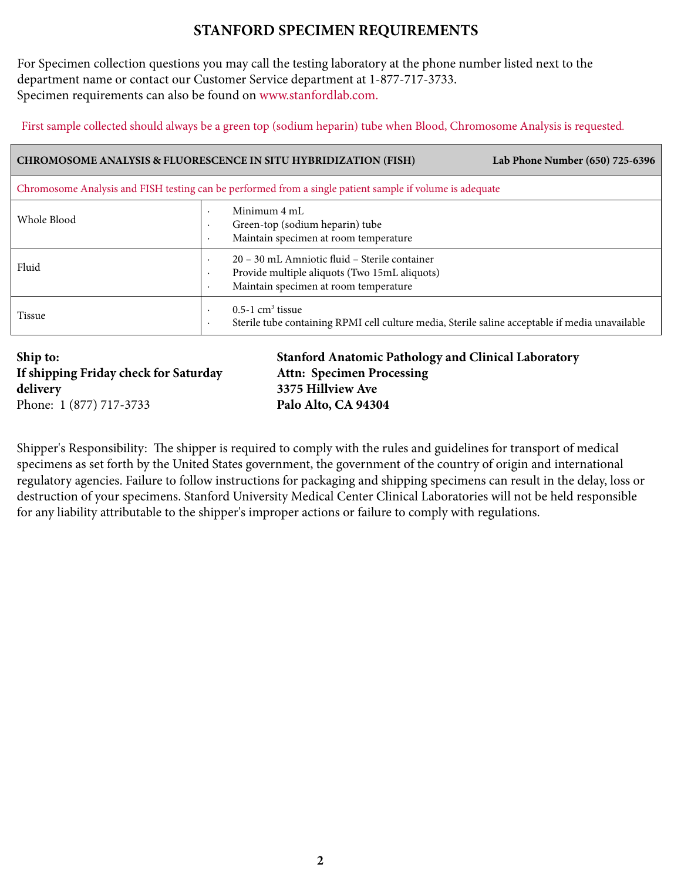## **STANFORD SPECIMEN REQUIREMENTS**

For Specimen collection questions you may call the testing laboratory at the phone number listed next to the department name or contact our Customer Service department at 1-877-717-3733. Specimen requirements can also be found on [www.stanfordlab.com.](http://www.stanfordlab.com/) 

First sample collected should always be a green top (sodium heparin) tube when Blood, Chromosome Analysis is requested.

| <b>CHROMOSOME ANALYSIS &amp; FLUORESCENCE IN SITU HYBRIDIZATION (FISH)</b><br>Lab Phone Number (650) 725-6396 |                                                                                                                                         |  |  |  |  |  |
|---------------------------------------------------------------------------------------------------------------|-----------------------------------------------------------------------------------------------------------------------------------------|--|--|--|--|--|
| Chromosome Analysis and FISH testing can be performed from a single patient sample if volume is adequate      |                                                                                                                                         |  |  |  |  |  |
| Whole Blood                                                                                                   | Minimum 4 mL<br>Green-top (sodium heparin) tube<br>Maintain specimen at room temperature<br>$\bullet$                                   |  |  |  |  |  |
| Fluid                                                                                                         | 20 - 30 mL Amniotic fluid - Sterile container<br>Provide multiple aliquots (Two 15mL aliquots)<br>Maintain specimen at room temperature |  |  |  |  |  |
| <b>Tissue</b>                                                                                                 | $0.5-1$ cm <sup>3</sup> tissue<br>Sterile tube containing RPMI cell culture media, Sterile saline acceptable if media unavailable       |  |  |  |  |  |

**Ship to: If shipping Friday check for Saturday delivery** Phone: 1 (877) 717-3733

**Stanford Anatomic Pathology and Clinical Laboratory Attn: Specimen Processing 3375 Hillview Ave Palo Alto, CA 94304**

Shipper's Responsibility: The shipper is required to comply with the rules and guidelines for transport of medical specimens as set forth by the United States government, the government of the country of origin and international regulatory agencies. Failure to follow instructions for packaging and shipping specimens can result in the delay, loss or destruction of your specimens. Stanford University Medical Center Clinical Laboratories will not be held responsible for any liability attributable to the shipper's improper actions or failure to comply with regulations.